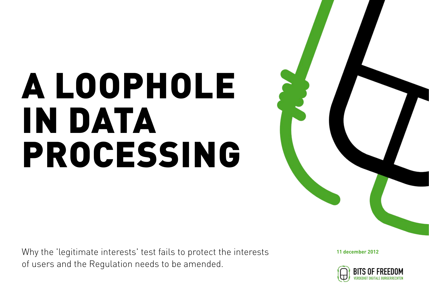## A LOOPHOLE IN DATA PROCESSING

Why the 'legitimate interests' test fails to protect the interests of users and the Regulation needs to be amended.

**11 december 2012**

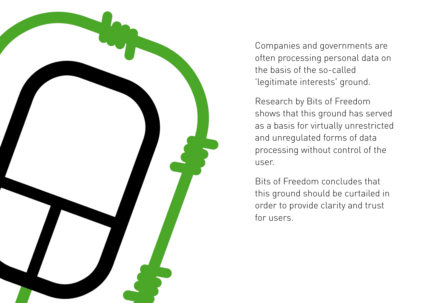

Companies and governments are often processing personal data on the basis of the so-called 'legitimate interests' ground.

Research by Bits of Freedom shows that this ground has served as a basis for virtually unrestricted and unregulated forms of data processing without control of the user.

Bits of Freedom concludes that this ground should be curtailed in order to provide clarity and trust for users.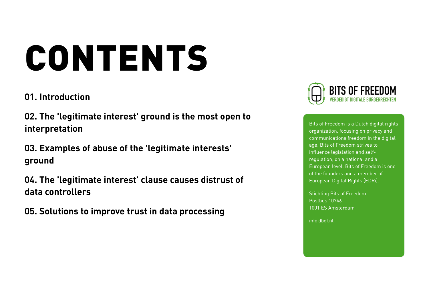# CONTENTS

### **[01.](#page-3-1) [Introduction](#page-3-1)**

**[02.](#page-3-0) [The 'legitimate interest' ground is the most open to](#page-3-0)  [interpretation](#page-3-0)**

**[03.](#page-4-0) [Examples of abuse of the 'legitimate interests'](#page-4-0)  [ground](#page-4-0)**

**[04.](#page-7-0) [The 'legitimate interest' clause causes distrust of](#page-7-0)  [data controllers](#page-7-0)**

**[05.](#page-8-0) [Solutions to improve trust in data processing](#page-8-0)**



Bits of Freedom is a Dutch digital rights organization, focusing on privacy and communications freedom in the digital age. Bits of Freedom strives to influence legislation and selfregulation, on a national and a European level. Bits of Freedom is one of the founders and a member of European Digital Rights (EDRi).

Stichting Bits of Freedom Postbus 10746 1001 ES Amsterdam

info@bof.nl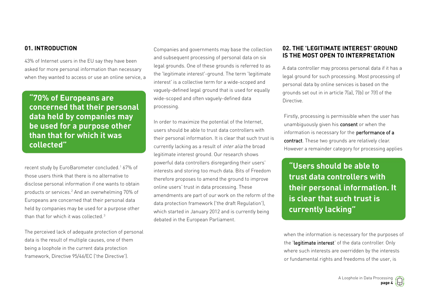#### <span id="page-3-1"></span>**01. INTRODUCTION**

43% of Internet users in the EU say they have been asked for more personal information than necessary when they wanted to access or use an online service, a

**"70% of Europeans are concerned that their personal data held by companies may be used for a purpose other than that for which it was collected"**

recent study by EuroBarometer concluded.<sup>1</sup> 67% of those users think that there is no alternative to disclose personal information if one wants to obtain products or services.<sup>2</sup> And an overwhelming 70% of Europeans are concerned that their personal data held by companies may be used for a purpose other than that for which it was collected. <sup>3</sup>

The perceived lack of adequate protection of personal data is the result of multiple causes, one of them being a loophole in the current data protection framework, Directive 95/46/EC ('the Directive').

Companies and governments may base the collection and subsequent processing of personal data on six legal grounds. One of these grounds is referred to as the 'legitimate interest'-ground. The term 'legitimate interest' is a collective term for a wide-scoped and vaguely-defined legal ground that is used for equally wide-scoped and often vaguely-defined data processing.

In order to maximize the potential of the Internet, users should be able to trust data controllers with their personal information. It is clear that such trust is currently lacking as a result of inter alia the broad legitimate interest ground. Our research shows powerful data controllers disregarding their users' interests and storing too much data. Bits of Freedom therefore proposes to amend the ground to improve online users' trust in data processing. These amendments are part of our work on the reform of the data protection framework ('the draft Regulation'), which started in January 2012 and is currently being debated in the European Parliament.

#### <span id="page-3-0"></span>**02. THE 'LEGITIMATE INTEREST' GROUND IS THE MOST OPEN TO INTERPRETATION**

A data controller may process personal data if it has a legal ground for such processing. Most processing of personal data by online services is based on the grounds set out in in article 7(a), 7(b) or 7(f) of the Directive.

Firstly, processing is permissible when the user has unambiguously given his consent or when the information is necessary for the performance of a contract. These two grounds are relatively clear. However a remainder category for processing applies

**"Users should be able to trust data controllers with their personal information. It is clear that such trust is currently lacking"**

when the information is necessary for the purposes of the 'legitimate interest' of the data controller. Only where such interests are overridden by the interests or fundamental rights and freedoms of the user, is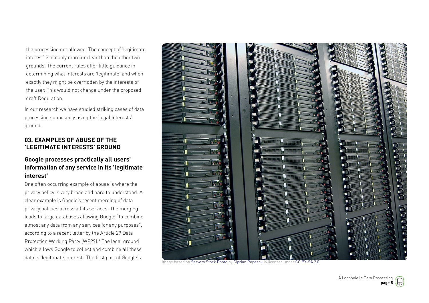the processing not allowed. The concept of 'legitimate interest' is notably more unclear than the other two grounds. The current rules offer little guidance in determining what interests are 'legitimate' and when exactly they might be overridden by the interests of the user. This would not change under the proposed draft Regulation.

In our research we have studied striking cases of data processing supposedly using the 'legal interests' ground.

#### <span id="page-4-0"></span>**03. EXAMPLES OF ABUSE OF THE 'LEGITIMATE INTERESTS' GROUND**

#### **Google processes practically all users' information of any service in its 'legitimate interest'**

One often occurring example of abuse is where the privacy policy is very broad and hard to understand. A clear example is Google's recent merging of data privacy policies across all its services. The merging leads to large databases allowing Google "to combine almost any data from any services for any purposes", according to a recent letter by the Article 29 Data Protection Working Party (WP29).<sup>4</sup> The legal ground which allows Google to collect and combine all these data is 'legitimate interest'. The first part of Google's



Image based on [Servers Stock Photo](http://www.flickr.com/photos/59770877@N05/6317955134) by [Ciprian Popescu](http://www.flickr.com/people/59770877@N05) is licensed under [CC BY-SA 2.0](http://creativecommons.org/licenses/by-sa/2.0/)

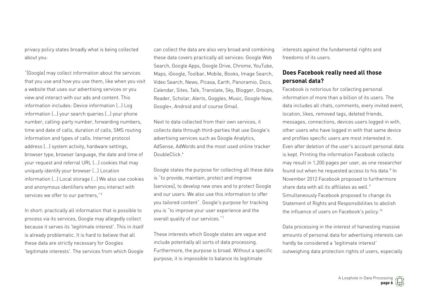privacy policy states broadly what is being collected about you:

"[Google] may collect information about the services that you use and how you use them, like when you visit a website that uses our advertising services or you view and interact with our ads and content. This information includes: Device information (…) Log information (…) your search queries (…) your phone number, calling-party number, forwarding numbers, time and date of calls, duration of calls, SMS routing information and types of calls. Internet protocol address (...) system activity, hardware settings, browser type, browser language, the date and time of your request and referral URL (...) cookies that may uniquely identify your browser (…) Location information (…) Local storage (...) We also use cookies and anonymous identifiers when you interact with services we offer to our partners,"<sup>5</sup>

In short: practically all information that is possible to process via its services, Google may allegedly collect because it serves its 'legitimate interest'. This in itself is already problematic. It is hard to believe that all these data are strictly necessary for Googles 'legitimate interests'. The services from which Google

can collect the data are also very broad and combining these data covers practically all services: Google Web Search, Google Apps, Google Drive, Chrome, YouTube, Maps, iGoogle, Toolbar, Mobile, Books, Image Search, Video Search, News, Picasa, Earth, Panoramio, Docs, Calendar, Sites, Talk, Translate, Sky, Blogger, Groups, Reader, Scholar, Alerts, Goggles, Music, Google Now, Google+, Android and of course Gmail.

Next to data collected from their own services, it collects data through third-parties that use Google's advertising services such as Google Analytics, AdSense, AdWords and the most used online tracker DoubleClick<sup>6</sup>

Google states the purpose for collecting all these data is "to provide, maintain, protect and improve [services], to develop new ones and to protect Google and our users. We also use this information to offer you tailored content". Google's purpose for tracking you is "to improve your user experience and the overall quality of our services."<sup>7</sup>

These interests which Google states are vague and include potentially all sorts of data processing. Furthermore, the purpose is broad. Without a specific purpose, it is impossible to balance its legitimate

interests against the fundamental rights and freedoms of its users.

#### **Does Facebook really need all those personal data?**

Facebook is notorious for collecting personal information of more than a billion of its users. The data includes all chats, comments, every invited event, location, likes, removed tags, deleted friends, messages, connections, devices users logged in with, other users who have logged in with that same device and profiles specific users are most interested in. Even after deletion of the user's account personal data is kept. Printing the information Facebook collects may result in 1,200 pages per user, as one researcher found out when he requested access to his data.<sup>8</sup> In November 2012 Facebook proposed to furthermore share data with all its affiliates as well.<sup>9</sup> Simultaneously Facebook proposed to change its Statement of Rights and Responsibilities to abolish the influence of users on Facebook's policy. <sup>10</sup>

Data processing in the interest of harvesting massive amounts of personal data for advertising interests can hardly be considered a 'legitimate interest' outweighing data protection rights of users, especially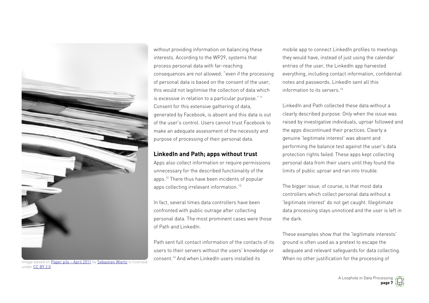

Image based on [Paper pile – April 2011](http://www.flickr.com/photos/36169570@N08/5624281846) by [Sebastien Wiertz](http://www.flickr.com/people/36169570@N08) is licensed under [CC BY 2.0](http://creativecommons.org/licenses/by/2.0/)

without providing information on balancing these interests. According to the WP29, systems that process personal data with far-reaching consequences are not allowed; "even if the processing of personal data is based on the consent of the user, this would not legitimise the collection of data which is excessive in relation to a particular purpose." <sup>11</sup> Consent for this extensive gathering of data, generated by Facebook, is absent and this data is out of the user's control. Users cannot trust Facebook to make an adequate assessment of the necessity and purpose of processing of their personal data.

#### **LinkedIn and Path; apps without trust**

Apps also collect information or require permissions unnecessary for the described functionality of the apps.<sup>12</sup> There thus have been incidents of popular apps collecting irrelevant information. <sup>13</sup>

In fact, several times data controllers have been confronted with public outrage after collecting personal data. The most prominent cases were those of Path and LinkedIn.

Path sent full contact information of the contacts of its users to their servers without the users' knowledge or consent.<sup>14</sup> And when LinkedIn users installed its

mobile app to connect LinkedIn profiles to meetings they would have, instead of just using the calendar entries of the user, the LinkedIn app harvested everything, including contact information, confidential notes and passwords. LinkedIn sent all this information to its servers.<sup>15</sup>

LinkedIn and Path collected these data without a clearly described purpose. Only when the issue was raised by investigative individuals, uproar followed and the apps discontinued their practices. Clearly a genuine 'legitimate interest' was absent and performing the balance test against the user's data protection rights failed. These apps kept collecting personal data from their users until they found the limits of public uproar and ran into trouble.

The bigger issue, of course, is that most data controllers which collect personal data without a 'legitimate interest' do not get caught. Illegitimate data processing stays unnoticed and the user is left in the dark.

These examples show that the 'legitimate interests' ground is often used as a pretext to escape the adequate and relevant safeguards for data collecting. When no other justification for the processing of

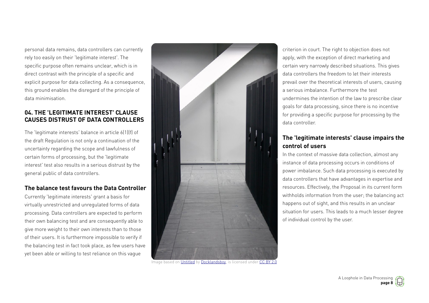personal data remains, data controllers can currently rely too easily on their 'legitimate interest'. The specific purpose often remains unclear, which is in direct contrast with the principle of a specific and explicit purpose for data collecting. As a consequence, this ground enables the disregard of the principle of data minimisation.

#### <span id="page-7-0"></span>**04. THE 'LEGITIMATE INTEREST' CLAUSE CAUSES DISTRUST OF DATA CONTROLLERS**

The 'legitimate interests' balance in article 6(1)(f) of the draft Regulation is not only a continuation of the uncertainty regarding the scope and lawfulness of certain forms of processing, but the 'legitimate interest' test also results in a serious distrust by the general public of data controllers.

#### **The balance test favours the Data Controller**

Currently 'legitimate interests' grant a basis for virtually unrestricted and unregulated forms of data processing. Data controllers are expected to perform their own balancing test and are consequently able to give more weight to their own interests than to those of their users. It is furthermore impossible to verify if the balancing test in fact took place, as few users have yet been able or willing to test reliance on this vague



Image based on [Untitled](https://secure.flickr.com/photos/mogwai_83/3771891108/) by [Docklandsboy,](https://secure.flickr.com/photos/mogwai_83/) is licensed under [CC BY 2.0](https://creativecommons.org/licenses/by/2.0/)

criterion in court. The right to objection does not apply, with the exception of direct marketing and certain very narrowly described situations. This gives data controllers the freedom to let their interests prevail over the theoretical interests of users, causing a serious imbalance. Furthermore the test undermines the intention of the law to prescribe clear goals for data processing, since there is no incentive for providing a specific purpose for processing by the data controller.

#### **The 'legitimate interests' clause impairs the control of users**

In the context of massive data collection, almost any instance of data processing occurs in conditions of power imbalance. Such data processing is executed by data controllers that have advantages in expertise and resources. Effectively, the Proposal in its current form withholds information from the user; the balancing act happens out of sight, and this results in an unclear situation for users. This leads to a much lesser degree of individual control by the user.

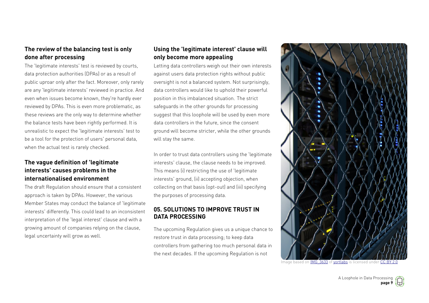#### **The review of the balancing test is only done after processing**

The 'legitimate interests' test is reviewed by courts, data protection authorities (DPAs) or as a result of public uproar only after the fact. Moreover, only rarely are any 'legitimate interests' reviewed in practice. And even when issues become known, they're hardly ever reviewed by DPAs. This is even more problematic, as these reviews are the only way to determine whether the balance tests have been rightly performed. It is unrealistic to expect the 'legitimate interests' test to be a tool for the protection of users' personal data, when the actual test is rarely checked.

#### **The vague definition of 'legitimate interests' causes problems in the internationalised environment**

The draft Regulation should ensure that a consistent approach is taken by DPAs. However, the various Member States may conduct the balance of 'legitimate interests' differently. This could lead to an inconsistent interpretation of the 'legal interest' clause and with a growing amount of companies relying on the clause, legal uncertainty will grow as well.

#### **Using the 'legitimate interest' clause will only become more appealing**

Letting data controllers weigh out their own interests against users data protection rights without public oversight is not a balanced system. Not surprisingly, data controllers would like to uphold their powerful position in this imbalanced situation. The strict safeguards in the other grounds for processing suggest that this loophole will be used by even more data controllers in the future, since the consent ground will become stricter, while the other grounds will stay the same.

In order to trust data controllers using the 'legitimate interests' clause, the clause needs to be improved. This means (i) restricting the use of 'legitimate interests' ground, (ii) accepting objection, when collecting on that basis (opt-out) and (iii) specifying the purposes of processing data.

#### <span id="page-8-0"></span>**05. SOLUTIONS TO IMPROVE TRUST IN DATA PROCESSING**

The upcoming Regulation gives us a unique chance to restore trust in data processing; to keep data controllers from gathering too much personal data in the next decades. If the upcoming Regulation is not



Image based on IMG 3633 of [yortlabs](http://www.flickr.com/people/34526794@N00) is licensed under [CC BY 2.0](http://creativecommons.org/licenses/by/2.0/)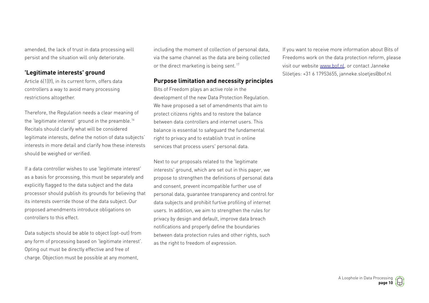amended, the lack of trust in data processing will persist and the situation will only deteriorate.

#### **'Legitimate interests' ground**

Article 6(1)(f), in its current form, offers data controllers a way to avoid many processing restrictions altogether.

Therefore, the Regulation needs a clear meaning of the 'legitimate interest' ground in the preamble.<sup>16</sup> Recitals should clarify what will be considered legitimate interests, define the notion of data subjects' interests in more detail and clarify how these interests should be weighed or verified.

If a data controller wishes to use 'legitimate interest' as a basis for processing, this must be separately and explicitly flagged to the data subject and the data processor should publish its grounds for believing that its interests override those of the data subject. Our proposed amendments introduce obligations on controllers to this effect.

Data subjects should be able to object (opt-out) from any form of processing based on 'legitimate interest'. Opting out must be directly effective and free of charge. Objection must be possible at any moment,

including the moment of collection of personal data, via the same channel as the data are being collected or the direct marketing is being sent.<sup>17</sup>

#### **Purpose limitation and necessity principles**

Bits of Freedom plays an active role in the development of the new Data Protection Regulation. We have proposed a set of amendments that aim to protect citizens rights and to restore the balance between data controllers and internet users. This balance is essential to safeguard the fundamental right to privacy and to establish trust in online services that process users' personal data.

Next to our proposals related to the 'legitimate interests' ground, which are set out in this paper, we propose to strengthen the definitions of personal data and consent, prevent incompatible further use of personal data, guarantee transparency and control for data subjects and prohibit furtive profiling of internet users. In addition, we aim to strengthen the rules for privacy by design and default, improve data breach notifications and properly define the boundaries between data protection rules and other rights, such as the right to freedom of expression.

If you want to receive more information about Bits of Freedoms work on the data protection reform, please visit our website [www.bof.nl,](http://www.bof.nl/) or contact Janneke Slöetjes: +31 6 17953655, janneke.sloetjes@bof.nl